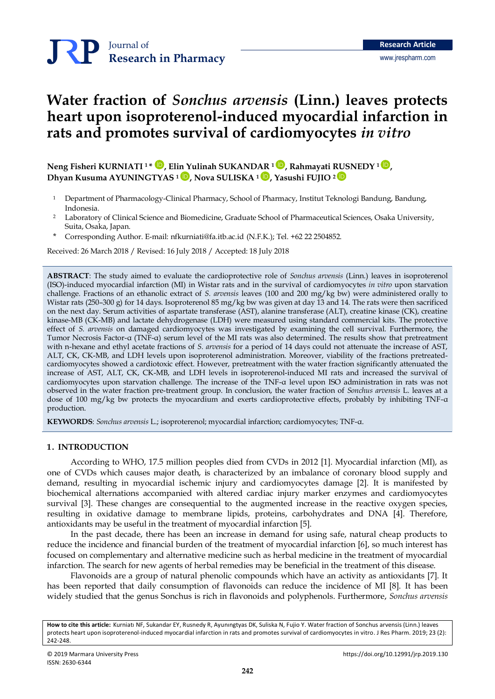# **Water fraction of** *Sonchus arvensis* **(Linn.) leaves protects heart upon isoproterenol-induced myocardial infarction in rats and promotes survival of cardiomyocytes** *in vitro*

**Neng Fisheri KURNIATI <sup>1</sup> \*** [İD](https://orcid.org/0000-0002-3313-6612) **, Elin Yulinah SUKANDAR <sup>1</sup>** [İD](https://orcid.org/0000-0003-3540-012X) **, Rahmayati RUSNEDY <sup>1</sup>** [İD](https://orcid.org/0000-0001-8774-8772) **, Dhyan Kusuma AYUNINGTYAS <sup>1</sup>** [İD](https://orcid.org/0000-0003-1917-5858) **, Nova SULISKA <sup>1</sup>** [İD](https://orcid.org/0000-0003-0410-319X) **, Yasushi FUJIO <sup>2</sup>** [İD](http://orcid.org/0000-0003-0828-2930)

- <sup>1</sup>Department of Pharmacology-Clinical Pharmacy, School of Pharmacy, Institut Teknologi Bandung, Bandung, Indonesia.
- <sup>2</sup>Laboratory of Clinical Science and Biomedicine, Graduate School of Pharmaceutical Sciences, Osaka University, Suita, Osaka, Japan.
- \* Corresponding Author. E-mail: [nfkurniati@fa.itb.ac.id](mailto:nfkurniati@fa.itb.ac.id) (N.F.K.); Tel. +62 22 2504852.

Received: 26 March 2018 / Revised: 16 July 2018 / Accepted: 18 July 2018

**ABSTRACT**: The study aimed to evaluate the cardioprotective role of *Sonchus arvensis* (Linn.) leaves in isoproterenol (ISO)-induced myocardial infarction (MI) in Wistar rats and in the survival of cardiomyocytes *in vitro* upon starvation challenge. Fractions of an ethanolic extract of *S. arvensis* leaves (100 and 200 mg/kg bw) were administered orally to Wistar rats (250–300 g) for 14 days. Isoproterenol 85 mg/kg bw was given at day 13 and 14. The rats were then sacrificed on the next day. Serum activities of aspartate transferase (AST), alanine transferase (ALT), creatine kinase (CK), creatine kinase-MB (CK-MB) and lactate dehydrogenase (LDH) were measured using standard commercial kits. The protective effect of *S. arvensis* on damaged cardiomyocytes was investigated by examining the cell survival. Furthermore, the Tumor Necrosis Factor-α (TNF-α) serum level of the MI rats was also determined. The results show that pretreatment with n-hexane and ethyl acetate fractions of *S. arvensis* for a period of 14 days could not attenuate the increase of AST, ALT, CK, CK-MB, and LDH levels upon isoproterenol administration. Moreover, viability of the fractions pretreatedcardiomyocytes showed a cardiotoxic effect. However, pretreatment with the water fraction significantly attenuated the increase of AST, ALT, CK, CK-MB, and LDH levels in isoproterenol-induced MI rats and increased the survival of cardiomyocytes upon starvation challenge. The increase of the TNF-α level upon ISO administration in rats was not observed in the water fraction pre-treatment group. In conclusion, the water fraction of *Sonchus arvensis* L. leaves at a dose of 100 mg/kg bw protects the myocardium and exerts cardioprotective effects, probably by inhibiting TNF-α production.

**KEYWORDS**: *Sonchus arvensis* L.; isoproterenol; myocardial infarction; cardiomyocytes; TNF-α.

#### **1. INTRODUCTION**

According to WHO, 17.5 million peoples died from CVDs in 2012 [1]. Myocardial infarction (MI), as one of CVDs which causes major death, is characterized by an imbalance of coronary blood supply and demand, resulting in myocardial ischemic injury and cardiomyocytes damage [2]. It is manifested by biochemical alternations accompanied with altered cardiac injury marker enzymes and cardiomyocytes survival [3]. These changes are consequential to the augmented increase in the reactive oxygen species, resulting in oxidative damage to membrane lipids, proteins, carbohydrates and DNA [4]. Therefore, antioxidants may be useful in the treatment of myocardial infarction [5].

In the past decade, there has been an increase in demand for using safe, natural cheap products to reduce the incidence and financial burden of the treatment of myocardial infarction [6], so much interest has focused on complementary and alternative medicine such as herbal medicine in the treatment of myocardial infarction. The search for new agents of herbal remedies may be beneficial in the treatment of this disease.

Flavonoids are a group of natural phenolic compounds which have an activity as antioxidants [7]. It has been reported that daily consumption of flavonoids can reduce the incidence of MI [8]. It has been widely studied that the genus Sonchus is rich in flavonoids and polyphenols. Furthermore, *Sonchus arvensis*

**How to cite this article:** Kurniatı NF, Sukandar EY, Rusnedy R, Ayunıngtyas DK, Suliska N, Fujio Y. Water fraction of Sonchus arvensis (Linn.) leaves protects heart upon isoproterenol-induced myocardial infarction in rats and promotes survival of cardiomyocytes in vitro. J Res Pharm. 2019; 23 (2): 242-248.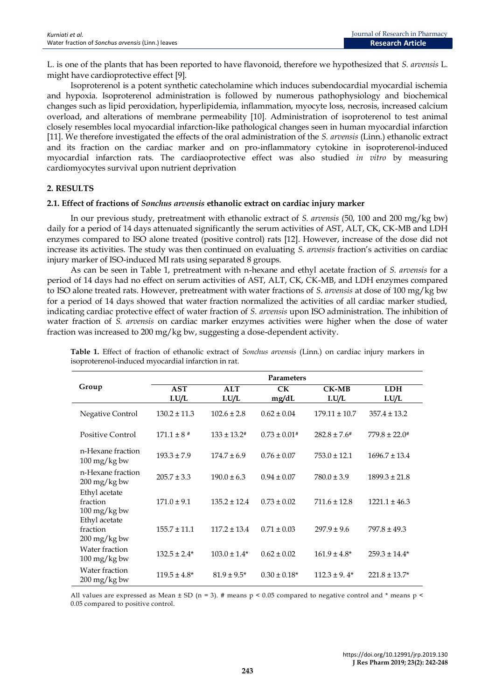L. is one of the plants that has been reported to have flavonoid, therefore we hypothesized that *S. arvensis* L. might have cardioprotective effect [9].

Isoproterenol is a potent synthetic catecholamine which induces subendocardial myocardial ischemia and hypoxia. Isoproterenol administration is followed by numerous pathophysiology and biochemical changes such as lipid peroxidation, hyperlipidemia, inflammation, myocyte loss, necrosis, increased calcium overload, and alterations of membrane permeability [10]. Administration of isoproterenol to test animal closely resembles local myocardial infarction-like pathological changes seen in human myocardial infarction [11]. We therefore investigated the effects of the oral administration of the *S. arvensis* (Linn.) ethanolic extract and its fraction on the cardiac marker and on pro-inflammatory cytokine in isoproterenol-induced myocardial infarction rats. The cardiaoprotective effect was also studied *in vitro* by measuring cardiomyocytes survival upon nutrient deprivation

## **2. RESULTS**

### **2.1. Effect of fractions of** *Sonchus arvensis* **ethanolic extract on cardiac injury marker**

In our previous study, pretreatment with ethanolic extract of *S. arvensis* (50, 100 and 200 mg/kg bw) daily for a period of 14 days attenuated significantly the serum activities of AST, ALT, CK, CK-MB and LDH enzymes compared to ISO alone treated (positive control) rats [12]. However, increase of the dose did not increase its activities. The study was then continued on evaluating *S. arvensis* fraction's activities on cardiac injury marker of ISO-induced MI rats using separated 8 groups.

As can be seen in Table 1, pretreatment with n-hexane and ethyl acetate fraction of *S. arvensis* for a period of 14 days had no effect on serum activities of AST, ALT, CK, CK-MB, and LDH enzymes compared to ISO alone treated rats. However, pretreatment with water fractions of *S. arvensis* at dose of 100 mg/kg bw for a period of 14 days showed that water fraction normalized the activities of all cardiac marker studied, indicating cardiac protective effect of water fraction of *S. arvensis* upon ISO administration. The inhibition of water fraction of *S. arvensis* on cardiac marker enzymes activities were higher when the dose of water fraction was increased to 200 mg/kg bw, suggesting a dose-dependent activity.

|                                                | <b>Parameters</b> |                         |                    |                   |                     |
|------------------------------------------------|-------------------|-------------------------|--------------------|-------------------|---------------------|
| Group                                          | AST<br>I.U/L      | $\mathbf{ALT}$<br>I.U/L | <b>CK</b><br>mg/dL | $CK-MB$<br>I.U/L  | <b>LDH</b><br>I.U/L |
| Negative Control                               | $130.2 \pm 11.3$  | $102.6 \pm 2.8$         | $0.62 \pm 0.04$    | $179.11 \pm 10.7$ | $357.4 \pm 13.2$    |
| Positive Control                               | $171.1 \pm 8$ #   | $133 \pm 13.2$ #        | $0.73 \pm 0.01$ #  | $282.8 \pm 7.6^*$ | $779.8 \pm 22.0$ #  |
| n-Hexane fraction<br>$100 \,\mathrm{mg/kg}$ bw | $193.3 \pm 7.9$   | $174.7 \pm 6.9$         | $0.76 \pm 0.07$    | $753.0 \pm 12.1$  | $1696.7 \pm 13.4$   |
| n-Hexane fraction<br>200 mg/kg bw              | $205.7 \pm 3.3$   | $190.0 \pm 6.3$         | $0.94 \pm 0.07$    | $780.0 \pm 3.9$   | $1899.3 \pm 21.8$   |
| Ethyl acetate<br>fraction<br>100 mg/kg bw      | $171.0 \pm 9.1$   | $135.2 \pm 12.4$        | $0.73 \pm 0.02$    | $711.6 \pm 12.8$  | $1221.1 \pm 46.3$   |
| Ethyl acetate<br>fraction<br>200 mg/kg bw      | $155.7 \pm 11.1$  | $117.2 \pm 13.4$        | $0.71 \pm 0.03$    | $297.9 \pm 9.6$   | $797.8 \pm 49.3$    |
| Water fraction<br>100 mg/kg bw                 | $132.5 \pm 2.4*$  | $103.0 \pm 1.4*$        | $0.62 \pm 0.02$    | $161.9 \pm 4.8^*$ | $259.3 \pm 14.4*$   |
| Water fraction<br>$200 \,\mathrm{mg/kg}$ bw    | $119.5 \pm 4.8^*$ | $81.9 \pm 9.5^*$        | $0.30 \pm 0.18$ *  | $112.3 \pm 9.4^*$ | $221.8 \pm 13.7*$   |

**Table 1.** Effect of fraction of ethanolic extract of *Sonchus arvensis* (Linn.) on cardiac injury markers in isoproterenol-induced myocardial infarction in rat.

All values are expressed as Mean  $\pm$  SD (n = 3). # means p < 0.05 compared to negative control and \* means p < 0.05 compared to positive control.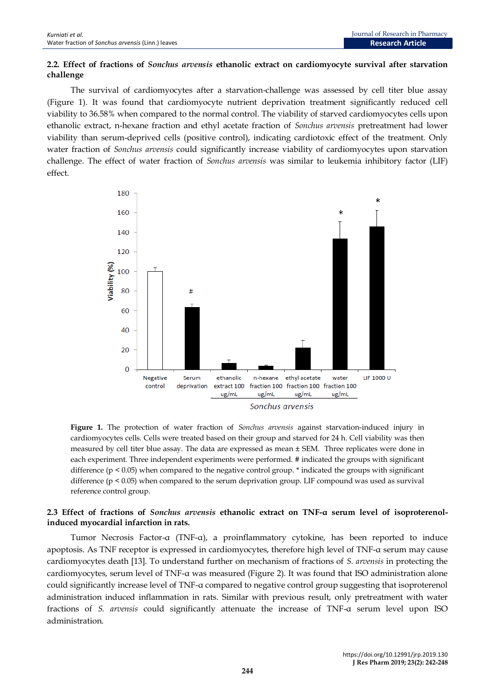# **2.2. Effect of fractions of** *Sonchus arvensis* **ethanolic extract on cardiomyocyte survival after starvation challenge**

The survival of cardiomyocytes after a starvation-challenge was assessed by cell titer blue assay (Figure 1). It was found that cardiomyocyte nutrient deprivation treatment significantly reduced cell viability to 36.58% when compared to the normal control. The viability of starved cardiomyocytes cells upon ethanolic extract, n-hexane fraction and ethyl acetate fraction of *Sonchus arvensis* pretreatment had lower viability than serum-deprived cells (positive control), indicating cardiotoxic effect of the treatment. Only water fraction of *Sonchus arvensis* could significantly increase viability of cardiomyocytes upon starvation challenge. The effect of water fraction of *Sonchus arvensis* was similar to leukemia inhibitory factor (LIF) effect.



**Figure 1.** The protection of water fraction of *Sonchus arvensis* against starvation-induced injury in cardiomyocytes cells. Cells were treated based on their group and starved for 24 h. Cell viability was then measured by cell titer blue assay. The data are expressed as mean ± SEM. Three replicates were done in each experiment. Three independent experiments were performed. # indicated the groups with significant difference ( $p \le 0.05$ ) when compared to the negative control group.  $*$  indicated the groups with significant difference (p < 0.05) when compared to the serum deprivation group. LIF compound was used as survival reference control group.

## **2.3 Effect of fractions of** *Sonchus arvensis* **ethanolic extract on TNF-α serum level of isoproterenolinduced myocardial infarction in rats.**

Tumor Necrosis Factor-α (TNF-α), a proinflammatory cytokine, has been reported to induce apoptosis. As TNF receptor is expressed in cardiomyocytes, therefore high level of TNF-α serum may cause cardiomyocytes death [13]. To understand further on mechanism of fractions of *S. arvensis* in protecting the cardiomyocytes, serum level of TNF-α was measured (Figure 2). It was found that ISO administration alone could significantly increase level of TNF-α compared to negative control group suggesting that isoproterenol administration induced inflammation in rats. Similar with previous result, only pretreatment with water fractions of *S. arvensis* could significantly attenuate the increase of TNF-α serum level upon ISO administration.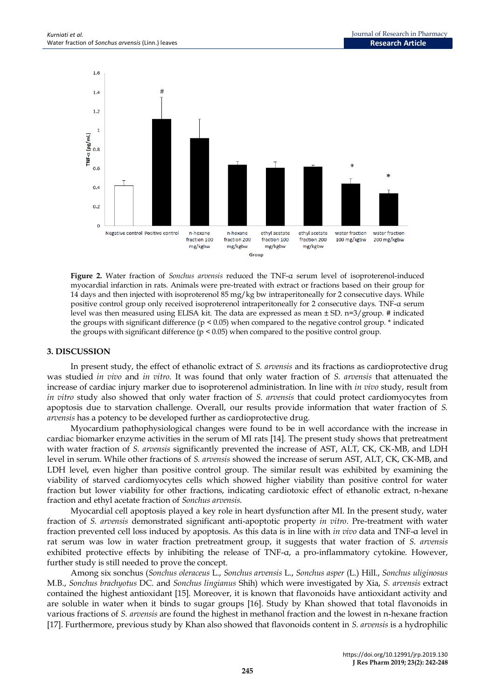

**Figure 2.** Water fraction of *Sonchus arvensis* reduced the TNF-α serum level of isoproterenol-induced myocardial infarction in rats. Animals were pre-treated with extract or fractions based on their group for 14 days and then injected with isoproterenol 85 mg/kg bw intraperitoneally for 2 consecutive days. While positive control group only received isoproterenol intraperitoneally for 2 consecutive days. TNF-α serum level was then measured using ELISA kit. The data are expressed as mean ± SD. n=3/group. # indicated the groups with significant difference  $(p < 0.05)$  when compared to the negative control group.  $*$  indicated the groups with significant difference  $(p < 0.05)$  when compared to the positive control group.

#### **3. DISCUSSION**

In present study, the effect of ethanolic extract of *S. arvensis* and its fractions as cardioprotective drug was studied *in vivo* and *in vitro*. It was found that only water fraction of *S. arvensis* that attenuated the increase of cardiac injury marker due to isoproterenol administration. In line with *in vivo* study, result from *in vitro* study also showed that only water fraction of *S. arvensis* that could protect cardiomyocytes from apoptosis due to starvation challenge. Overall, our results provide information that water fraction of *S. arvensis* has a potency to be developed further as cardioprotective drug.

Myocardium pathophysiological changes were found to be in well accordance with the increase in cardiac biomarker enzyme activities in the serum of MI rats [14]. The present study shows that pretreatment with water fraction of *S. arvensis* significantly prevented the increase of AST, ALT, CK, CK-MB, and LDH level in serum. While other fractions of *S. arvensis* showed the increase of serum AST, ALT, CK, CK-MB, and LDH level, even higher than positive control group. The similar result was exhibited by examining the viability of starved cardiomyocytes cells which showed higher viability than positive control for water fraction but lower viability for other fractions, indicating cardiotoxic effect of ethanolic extract, n-hexane fraction and ethyl acetate fraction of *Sonchus arvensis*.

Myocardial cell apoptosis played a key role in heart dysfunction after MI. In the present study, water fraction of *S. arvensis* demonstrated significant anti-apoptotic property *in vitro*. Pre-treatment with water fraction prevented cell loss induced by apoptosis. As this data is in line with *in vivo* data and TNF-α level in rat serum was low in water fraction pretreatment group, it suggests that water fraction of *S. arvensis* exhibited protective effects by inhibiting the release of TNF-α, a pro-inflammatory cytokine. However, further study is still needed to prove the concept.

Among six sonchus (*Sonchus oleraceus* L., *Sonchus arvensis* L., *Sonchus asper* (L.) Hill., *Sonchus uliginosus* M.B., *Sonchus brachyotus* DC. and *Sonchus lingianus* Shih) which were investigated by Xia, *S. arvensis* extract contained the highest antioxidant [15]. Moreover, it is known that flavonoids have antioxidant activity and are soluble in water when it binds to sugar groups [16]. Study by Khan showed that total flavonoids in various fractions of *S. arvensis* are found the highest in methanol fraction and the lowest in n-hexane fraction [17]. Furthermore, previous study by Khan also showed that flavonoids content in *S. arvensis* is a hydrophilic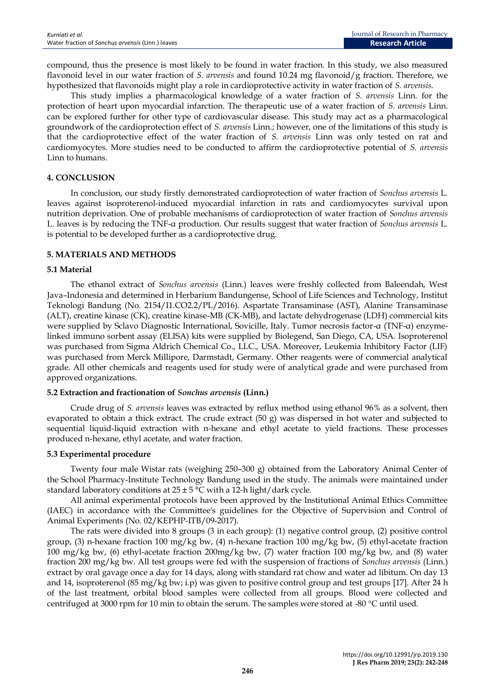compound, thus the presence is most likely to be found in water fraction. In this study, we also measured flavonoid level in our water fraction of *S. arvensis* and found 10.24 mg flavonoid/g fraction. Therefore, we hypothesized that flavonoids might play a role in cardioprotective activity in water fraction of *S. arvensis*.

This study implies a pharmacological knowledge of a water fraction of *S. arvensis* Linn. for the protection of heart upon myocardial infarction. The therapeutic use of a water fraction of *S. arvensis* Linn. can be explored further for other type of cardiovascular disease. This study may act as a pharmacological groundwork of the cardioprotection effect of *S. arvensis* Linn.; however, one of the limitations of this study is that the cardioprotective effect of the water fraction of *S. arvensis* Linn was only tested on rat and cardiomyocytes. More studies need to be conducted to affirm the cardioprotective potential of *S. arvensis* Linn to humans.

## **4. CONCLUSION**

In conclusion, our study firstly demonstrated cardioprotection of water fraction of *Sonchus arvensis* L. leaves against isoproterenol-induced myocardial infarction in rats and cardiomyocytes survival upon nutrition deprivation. One of probable mechanisms of cardioprotection of water fraction of *Sonchus arvensis* L. leaves is by reducing the TNF-α production. Our results suggest that water fraction of *Sonchus arvensis* L. is potential to be developed further as a cardioprotective drug.

## **5. MATERIALS AND METHODS**

### **5.1 Material**

The ethanol extract of *Sonchus arvensis* (Linn.) leaves were freshly collected from Baleendah, West Java–Indonesia and determined in Herbarium Bandungense, School of Life Sciences and Technology, Institut Teknologi Bandung (No. 2154/I1.CO2.2/PL/2016). Aspartate Transaminase (AST), Alanine Transaminase (ALT), creatine kinase (CK), creatine kinase-MB (CK-MB), and lactate dehydrogenase (LDH) commercial kits were supplied by Sclavo Diagnostic International, Sovicille, Italy. Tumor necrosis factor-α (TNF-α) enzymelinked immuno sorbent assay (ELISA) kits were supplied by Biolegend, San Diego, CA, USA. Isoproterenol was purchased from Sigma Aldrich Chemical Co., LLC., USA. Moreover, Leukemia Inhibitory Factor (LIF) was purchased from Merck Millipore, Darmstadt, Germany. Other reagents were of commercial analytical grade. All other chemicals and reagents used for study were of analytical grade and were purchased from approved organizations.

## **5.2 Extraction and fractionation of** *Sonchus arvensis* **(Linn.)**

Crude drug of *S. arvensis* leaves was extracted by reflux method using ethanol 96% as a solvent, then evaporated to obtain a thick extract. The crude extract (50 g) was dispersed in hot water and subjected to sequential liquid-liquid extraction with n-hexane and ethyl acetate to yield fractions. These processes produced n-hexane, ethyl acetate, and water fraction.

## **5.3 Experimental procedure**

Twenty four male Wistar rats (weighing 250–300 g) obtained from the Laboratory Animal Center of the School Pharmacy-Institute Technology Bandung used in the study. The animals were maintained under standard laboratory conditions at  $25 \pm 5$  °C with a 12-h light/dark cycle.

All animal experimental protocols have been approved by the Institutional Animal Ethics Committee (IAEC) in accordance with the Committee's guidelines for the Objective of Supervision and Control of Animal Experiments (No. 02/KEPHP-ITB/09-2017).

The rats were divided into 8 groups (3 in each group): (1) negative control group, (2) positive control group, (3) n-hexane fraction 100 mg/kg bw, (4) n-hexane fraction 100 mg/kg bw, (5) ethyl-acetate fraction 100 mg/kg bw, (6) ethyl-acetate fraction 200mg/kg bw, (7) water fraction 100 mg/kg bw, and (8) water fraction 200 mg/kg bw. All test groups were fed with the suspension of fractions of *Sonchus arvensis* (Linn.) extract by oral gavage once a day for 14 days, along with standard rat chow and water ad libitum. On day 13 and 14, isoproterenol (85 mg/kg bw; i.p) was given to positive control group and test groups [17]. After 24 h of the last treatment, orbital blood samples were collected from all groups. Blood were collected and centrifuged at 3000 rpm for 10 min to obtain the serum. The samples were stored at -80 °C until used.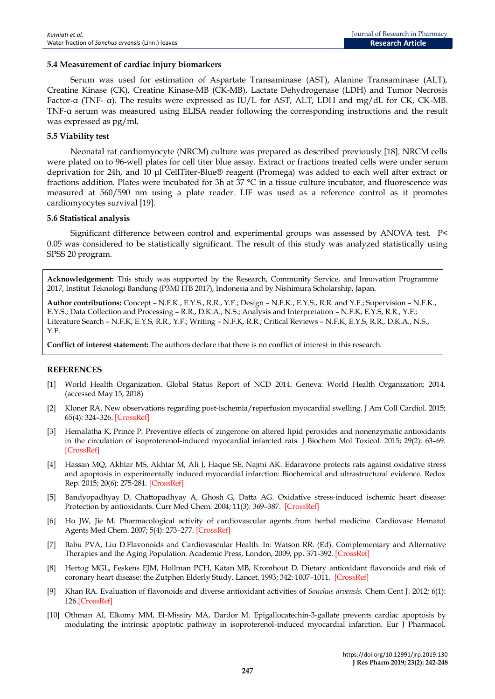### **5.4 Measurement of cardiac injury biomarkers**

Serum was used for estimation of Aspartate Transaminase (AST), Alanine Transaminase (ALT), Creatine Kinase (CK), Creatine Kinase-MB (CK-MB), Lactate Dehydrogenase (LDH) and Tumor Necrosis Factor-α (TNF- α). The results were expressed as IU/L for AST, ALT, LDH and mg/dL for CK, CK-MB. TNF-α serum was measured using ELISA reader following the corresponding instructions and the result was expressed as pg/ml.

#### **5.5 Viability test**

Neonatal rat cardiomyocyte (NRCM) culture was prepared as described previously [18]. NRCM cells were plated on to 96-well plates for cell titer blue assay. Extract or fractions treated cells were under serum deprivation for 24h, and 10 μl CellTiter-Blue® reagent (Promega) was added to each well after extract or fractions addition. Plates were incubated for 3h at 37 °C in a tissue culture incubator, and fluorescence was measured at 560/590 nm using a plate reader. LIF was used as a reference control as it promotes cardiomyocytes survival [19].

#### **5.6 Statistical analysis**

Significant difference between control and experimental groups was assessed by ANOVA test. P< 0.05 was considered to be statistically significant. The result of this study was analyzed statistically using SPSS 20 program.

**Acknowledgement:** This study was supported by the Research, Community Service, and Innovation Programme 2017, Institut Teknologi Bandung (P3MI ITB 2017), Indonesia and by Nishimura Scholarship, Japan.

**Author contributions:** Concept – N.F.K., E.Y.S., R.R., Y.F.; Design – N.F.K., E.Y.S., R.R. and Y.F.; Supervision – N.F.K., E.Y.S.; Data Collection and Processing – R.R., D.K.A., N.S.; Analysis and Interpretation – N.F.K, E.Y.S, R.R., Y.F.; Literature Search – N.F.K, E.Y.S, R.R., Y.F.; Writing – N.F.K, R.R.; Critical Reviews – N.F.K, E.Y.S, R.R., D.K.A., N.S., Y.F.

**Conflict of interest statement:** The authors declare that there is no conflict of interest in this research.

## **REFERENCES**

- [1] World Health Organization. Global Status Report of NCD 2014. Geneva: World Health Organization; 2014. (accessed May 15, 2018)
- [2] Kloner RA. New observations regarding post-ischemia/reperfusion myocardial swelling. J Am Coll Cardiol. 2015; 65(4): 324–326[. \[CrossRef\]](https://doi.org/10.1016/j.jacc.2014.11.006)
- [3] Hemalatha K, Prince P. Preventive effects of zingerone on altered lipid peroxides and nonenzymatic antioxidants in the circulation of isoproterenol-induced myocardial infarcted rats. J Biochem Mol Toxicol. 2015; 29(2): 63–69. [\[CrossRef\]](https://doi.org/10.1002/jbt.21668)
- [4] Hassan MQ, Akhtar MS, Akhtar M, Ali J, Haque SE, Najmi AK. Edaravone protects rats against oxidative stress and apoptosis in experimentally induced myocardial infarction: Biochemical and ultrastructural evidence. Redox Rep. 2015; 20(6): 275-281[. \[CrossRef\]](https://doi.org/10.1179/1351000215y.0000000011)
- [5] Bandyopadhyay D, Chattopadhyay A, Ghosh G, Datta AG. Oxidative stress-induced ischemic heart disease: Protection by antioxidants. Curr Med Chem. 2004; 11(3): 369–387. [\[CrossRef\]](https://doi.org/10.2174/0929867043456016)
- [6] Ho JW, Jie M. Pharmacological activity of cardiovascular agents from herbal medicine. Cardiovasc Hematol Agents Med Chem. 2007; 5(4): 273–277[. \[CrossRef\]](https://doi.org/10.2174/187152507782109854)
- [7] Babu PVA, Liu D.Flavonoids and Cardiovascular Health. In: Watson RR. (Ed). Complementary and Alternative Therapies and the Aging Population. Academic Press, London, 2009, pp. 371-392. [\[CrossRef\]](https://doi.org/10.1016/b978-0-12-374228-5.x0001-7)
- [8] Hertog MGL, Feskens EJM, Hollman PCH, Katan MB, Kromhout D. Dietary antioxidant flavonoids and risk of coronary heart disease: the Zutphen Elderly Study. Lancet. 1993; 342: 1007–1011. [\[CrossRef\]](https://doi.org/10.1016/0140-6736(93)92876-u)
- [9] Khan RA. Evaluation of flavonoids and diverse antioxidant activities of *Sonchus arvensis.* [Chem Cent J.](https://www.ncbi.nlm.nih.gov/pmc/articles/PMC3505741/) 2012; 6(1): 126[.\[CrossRef\]](https://doi.org/10.1186/1752-153x-6-126)
- [10] Othman AI, Elkomy MM, El-Missiry MA, Dardor M. Epigallocatechin-3-gallate prevents cardiac apoptosis by modulating the intrinsic apoptotic pathway in isoproterenol-induced myocardial infarction. Eur J Pharmacol*.*